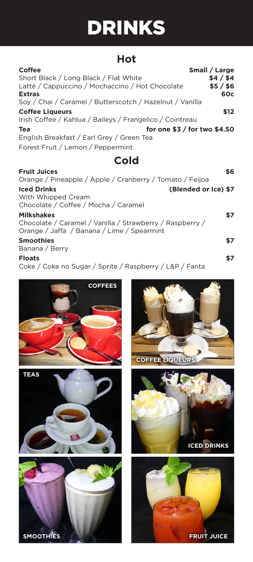## DRINKS

## **Hot**

| <b>Coffee</b>                                            | Small / Large |
|----------------------------------------------------------|---------------|
| Short Black / Long Black / Flat White                    | \$4/\$4       |
| Latté / Cappuccino / Mochaccino / Hot Chocolate          | $$5/$ \$6     |
| <b>Extras</b>                                            | 60c           |
| Soy / Chai / Caramel / Butterscotch / Hazelnut / Vanilla |               |
| <b>Coffee Liqueurs</b>                                   | \$12          |
| Irish Coffee / Kahlua / Baileys / Frangelico / Cointreau |               |
| for one $$3 /$ for two $$4.50$<br>Tea                    |               |
| English Breakfast / Earl Grey / Green Tea                |               |
| Forest Fruit / Lemon / Peppermint                        |               |
| Cold                                                     |               |
| <b>Fruit Juices</b>                                      | \$6           |
| Orange / Pineapple / Apple / Cranberry / Tomato / Feijoa |               |
| <b>Iced Drinks</b><br>(Blended or Ice) \$7               |               |
| With Whipped Cream                                       |               |

Chocolate / Coffee / Mocha / Caramel **Milkshakes \$7** Chocolate / Caramel / Vanilla / Strawberry / Raspberry / Orange / Jaffa / Banana / Lime / Spearmint **Smoothies \$7**

Banana / Berry

**Floats \$7** Coke / Coke no Sugar / Sprite / Raspberry / L&P / Fanta